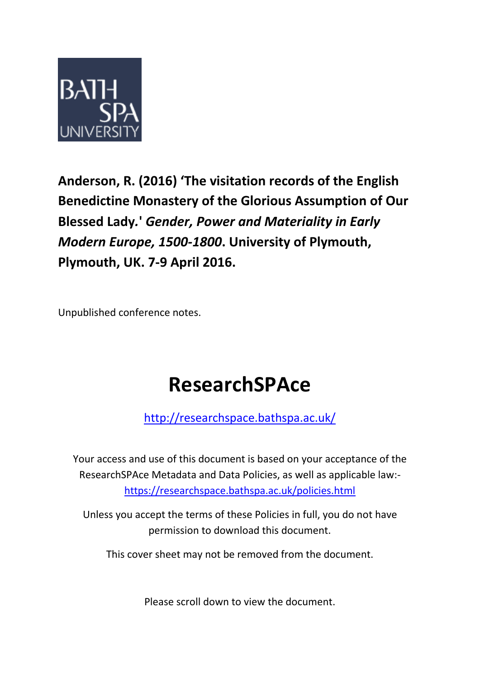

**Anderson, R. (2016) 'The visitation records of the English Benedictine Monastery of the Glorious Assumption of Our Blessed Lady***.***'** *Gender, Power and Materiality in Early Modern Europe, 1500-1800***. University of Plymouth, Plymouth, UK. 7-9 April 2016.** 

Unpublished conference notes.

# **ResearchSPAce**

<http://researchspace.bathspa.ac.uk/>

Your access and use of this document is based on your acceptance of the ResearchSPAce Metadata and Data Policies, as well as applicable law: https://researchspace.bathspa.ac.uk/policies.html

Unless you accept the terms of these Policies in full, you do not have permission to download this document.

This cover sheet may not be removed from the document.

Please scroll down to view the document.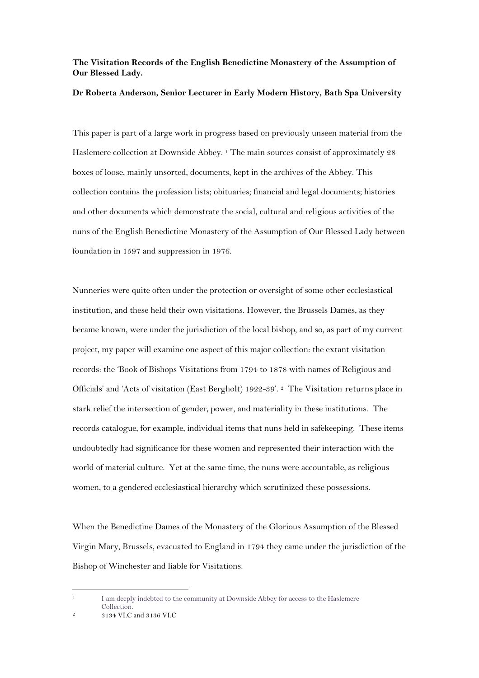# **The Visitation Records of the English Benedictine Monastery of the Assumption of Our Blessed Lady.**

#### **Dr Roberta Anderson, Senior Lecturer in Early Modern History, Bath Spa University**

This paper is part of a large work in progress based on previously unseen material from the Haslemere collection at Downside Abbey. <sup>1</sup> The main sources consist of approximately 28 boxes of loose, mainly unsorted, documents, kept in the archives of the Abbey. This collection contains the profession lists; obituaries; financial and legal documents; histories and other documents which demonstrate the social, cultural and religious activities of the nuns of the English Benedictine Monastery of the Assumption of Our Blessed Lady between foundation in 1597 and suppression in 1976.

Nunneries were quite often under the protection or oversight of some other ecclesiastical institution, and these held their own visitations. However, the Brussels Dames, as they became known, were under the jurisdiction of the local bishop, and so, as part of my current project, my paper will examine one aspect of this major collection: the extant visitation records: the 'Book of Bishops Visitations from 1794 to 1878 with names of Religious and Officials' and 'Acts of visitation (East Bergholt) 1922-39'. 2 The Visitation returns place in stark relief the intersection of gender, power, and materiality in these institutions. The records catalogue, for example, individual items that nuns held in safekeeping. These items undoubtedly had significance for these women and represented their interaction with the world of material culture. Yet at the same time, the nuns were accountable, as religious women, to a gendered ecclesiastical hierarchy which scrutinized these possessions.

When the Benedictine Dames of the Monastery of the Glorious Assumption of the Blessed Virgin Mary, Brussels, evacuated to England in 1794 they came under the jurisdiction of the Bishop of Winchester and liable for Visitations.

<sup>1</sup> I am deeply indebted to the community at Downside Abbey for access to the Haslemere Collection.

<sup>2</sup> 3134 VI.C and 3136 VI.C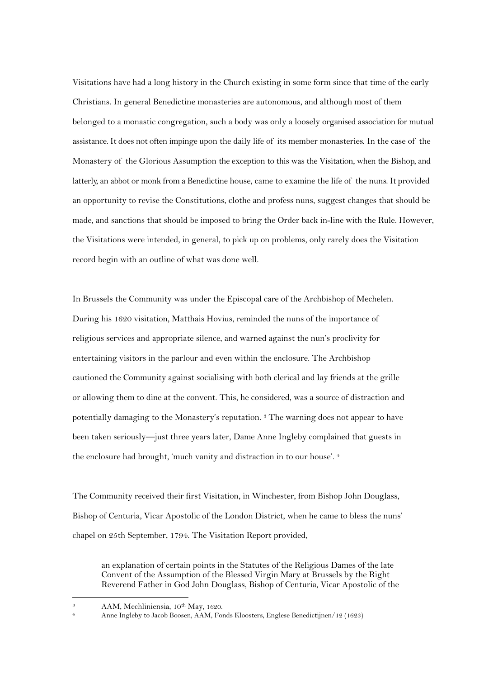Visitations have had a long history in the Church existing in some form since that time of the early Christians. In general Benedictine monasteries are autonomous, and although most of them belonged to a monastic congregation, such a body was only a loosely organised association for mutual assistance. It does not often impinge upon the daily life of its member monasteries. In the case of the Monastery of the Glorious Assumption the exception to this was the Visitation, when the Bishop, and latterly, an abbot or monk from a Benedictine house, came to examine the life of the nuns. It provided an opportunity to revise the Constitutions, clothe and profess nuns, suggest changes that should be made, and sanctions that should be imposed to bring the Order back in-line with the Rule. However, the Visitations were intended, in general, to pick up on problems, only rarely does the Visitation record begin with an outline of what was done well.

In Brussels the Community was under the Episcopal care of the Archbishop of Mechelen. During his 1620 visitation, Matthais Hovius, reminded the nuns of the importance of religious services and appropriate silence, and warned against the nun's proclivity for entertaining visitors in the parlour and even within the enclosure. The Archbishop cautioned the Community against socialising with both clerical and lay friends at the grille or allowing them to dine at the convent. This, he considered, was a source of distraction and potentially damaging to the Monastery's reputation. <sup>3</sup> The warning does not appear to have been taken seriously—just three years later, Dame Anne Ingleby complained that guests in the enclosure had brought, 'much vanity and distraction in to our house'. <sup>4</sup>

The Community received their first Visitation, in Winchester, from Bishop John Douglass, Bishop of Centuria, Vicar Apostolic of the London District, when he came to bless the nuns' chapel on 25th September, 1794. The Visitation Report provided,

an explanation of certain points in the Statutes of the Religious Dames of the late Convent of the Assumption of the Blessed Virgin Mary at Brussels by the Right Reverend Father in God John Douglass, Bishop of Centuria, Vicar Apostolic of the

<sup>&</sup>lt;sup>3</sup> AAM, Mechliniensia, 10<sup>th</sup> May, 1620.

<sup>4</sup> Anne Ingleby to Jacob Boosen, AAM, Fonds Kloosters, Englese Benedictijnen/12 (1623)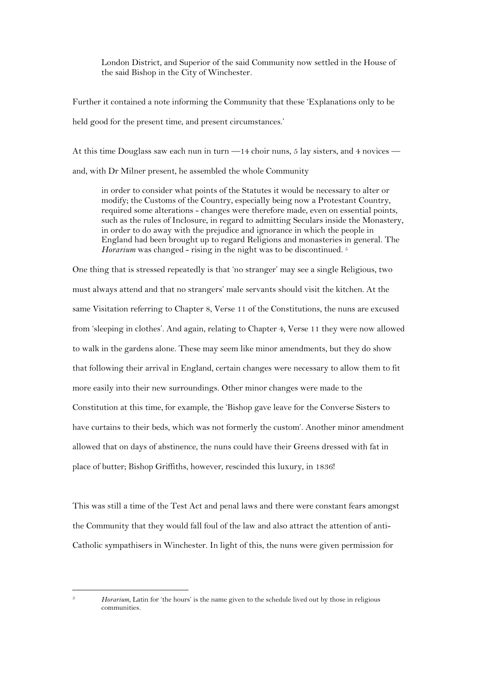London District, and Superior of the said Community now settled in the House of the said Bishop in the City of Winchester.

Further it contained a note informing the Community that these 'Explanations only to be held good for the present time, and present circumstances.'

At this time Douglass saw each nun in turn —14 choir nuns, 5 lay sisters, and 4 novices and, with Dr Milner present, he assembled the whole Community

in order to consider what points of the Statutes it would be necessary to alter or modify; the Customs of the Country, especially being now a Protestant Country, required some alterations - changes were therefore made, even on essential points, such as the rules of Inclosure, in regard to admitting Seculars inside the Monastery, in order to do away with the prejudice and ignorance in which the people in England had been brought up to regard Religions and monasteries in general. The *Horarium* was changed - rising in the night was to be discontinued.<sup>5</sup>

One thing that is stressed repeatedly is that 'no stranger' may see a single Religious, two must always attend and that no strangers' male servants should visit the kitchen. At the same Visitation referring to Chapter 8, Verse 11 of the Constitutions, the nuns are excused from 'sleeping in clothes'. And again, relating to Chapter 4, Verse 11 they were now allowed to walk in the gardens alone. These may seem like minor amendments, but they do show that following their arrival in England, certain changes were necessary to allow them to fit more easily into their new surroundings. Other minor changes were made to the Constitution at this time, for example, the 'Bishop gave leave for the Converse Sisters to have curtains to their beds, which was not formerly the custom'. Another minor amendment allowed that on days of abstinence, the nuns could have their Greens dressed with fat in place of butter; Bishop Griffiths, however, rescinded this luxury, in 1836!

This was still a time of the Test Act and penal laws and there were constant fears amongst the Community that they would fall foul of the law and also attract the attention of anti-Catholic sympathisers in Winchester. In light of this, the nuns were given permission for

<sup>5</sup> *Horarium*, Latin for 'the hours' is the name given to the schedule lived out by those in religious communities.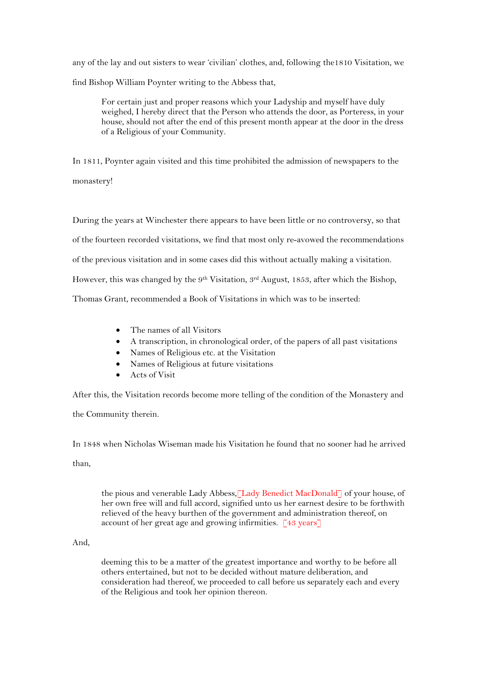any of the lay and out sisters to wear 'civilian' clothes, and, following the1810 Visitation, we find Bishop William Poynter writing to the Abbess that,

For certain just and proper reasons which your Ladyship and myself have duly weighed, I hereby direct that the Person who attends the door, as Porteress, in your house, should not after the end of this present month appear at the door in the dress of a Religious of your Community.

In 1811, Poynter again visited and this time prohibited the admission of newspapers to the monastery!

During the years at Winchester there appears to have been little or no controversy, so that of the fourteen recorded visitations, we find that most only re-avowed the recommendations of the previous visitation and in some cases did this without actually making a visitation. However, this was changed by the 9<sup>th</sup> Visitation, 3<sup>rd</sup> August, 1853, after which the Bishop, Thomas Grant, recommended a Book of Visitations in which was to be inserted:

- The names of all Visitors
- A transcription, in chronological order, of the papers of all past visitations
- Names of Religious etc. at the Visitation
- Names of Religious at future visitations
- Acts of Visit

After this, the Visitation records become more telling of the condition of the Monastery and

the Community therein.

In 1848 when Nicholas Wiseman made his Visitation he found that no sooner had he arrived

than,

the pious and venerable Lady Abbess,[Lady Benedict MacDonald] of your house, of her own free will and full accord, signified unto us her earnest desire to be forthwith relieved of the heavy burthen of the government and administration thereof, on account of her great age and growing infirmities. [43 years]

# And,

deeming this to be a matter of the greatest importance and worthy to be before all others entertained, but not to be decided without mature deliberation, and consideration had thereof, we proceeded to call before us separately each and every of the Religious and took her opinion thereon.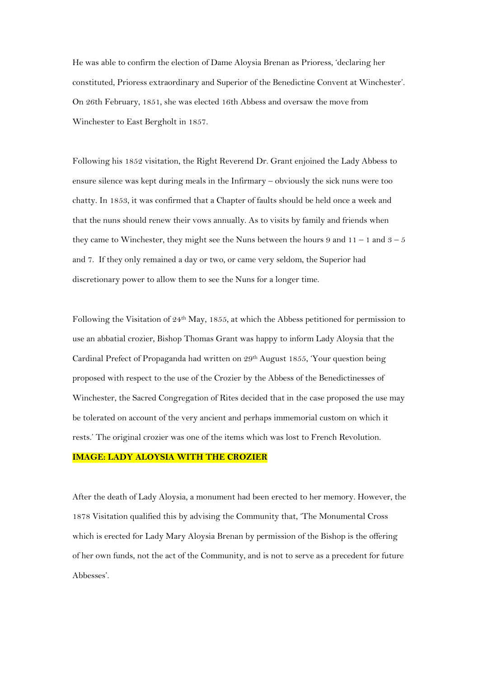He was able to confirm the election of Dame Aloysia Brenan as Prioress, 'declaring her constituted, Prioress extraordinary and Superior of the Benedictine Convent at Winchester'. On 26th February, 1851, she was elected 16th Abbess and oversaw the move from Winchester to East Bergholt in 1857.

Following his 1852 visitation, the Right Reverend Dr. Grant enjoined the Lady Abbess to ensure silence was kept during meals in the Infirmary – obviously the sick nuns were too chatty. In 1853, it was confirmed that a Chapter of faults should be held once a week and that the nuns should renew their vows annually. As to visits by family and friends when they came to Winchester, they might see the Nuns between the hours 9 and  $11 - 1$  and  $3 - 5$ and 7. If they only remained a day or two, or came very seldom, the Superior had discretionary power to allow them to see the Nuns for a longer time.

Following the Visitation of 24th May, 1855, at which the Abbess petitioned for permission to use an abbatial crozier, Bishop Thomas Grant was happy to inform Lady Aloysia that the Cardinal Prefect of Propaganda had written on  $29<sup>th</sup>$  August 1855, 'Your question being proposed with respect to the use of the Crozier by the Abbess of the Benedictinesses of Winchester, the Sacred Congregation of Rites decided that in the case proposed the use may be tolerated on account of the very ancient and perhaps immemorial custom on which it rests.' The original crozier was one of the items which was lost to French Revolution.

#### **IMAGE: LADY ALOYSIA WITH THE CROZIER**

After the death of Lady Aloysia, a monument had been erected to her memory. However, the 1878 Visitation qualified this by advising the Community that, 'The Monumental Cross which is erected for Lady Mary Aloysia Brenan by permission of the Bishop is the offering of her own funds, not the act of the Community, and is not to serve as a precedent for future Abbesses'.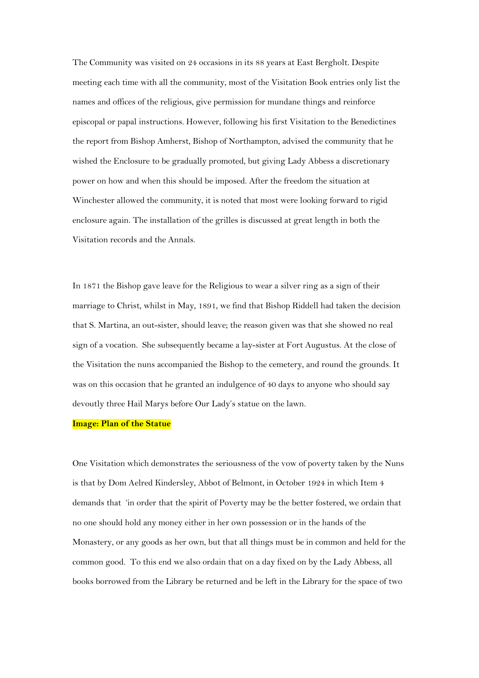The Community was visited on 24 occasions in its 88 years at East Bergholt. Despite meeting each time with all the community, most of the Visitation Book entries only list the names and offices of the religious, give permission for mundane things and reinforce episcopal or papal instructions. However, following his first Visitation to the Benedictines the report from Bishop Amherst, Bishop of Northampton, advised the community that he wished the Enclosure to be gradually promoted, but giving Lady Abbess a discretionary power on how and when this should be imposed. After the freedom the situation at Winchester allowed the community, it is noted that most were looking forward to rigid enclosure again. The installation of the grilles is discussed at great length in both the Visitation records and the Annals.

In 1871 the Bishop gave leave for the Religious to wear a silver ring as a sign of their marriage to Christ, whilst in May, 1891, we find that Bishop Riddell had taken the decision that S. Martina, an out-sister, should leave; the reason given was that she showed no real sign of a vocation. She subsequently became a lay-sister at Fort Augustus. At the close of the Visitation the nuns accompanied the Bishop to the cemetery, and round the grounds. It was on this occasion that he granted an indulgence of 40 days to anyone who should say devoutly three Hail Marys before Our Lady's statue on the lawn.

## **Image: Plan of the Statue**

One Visitation which demonstrates the seriousness of the vow of poverty taken by the Nuns is that by Dom Aelred Kindersley, Abbot of Belmont, in October 1924 in which Item 4 demands that 'in order that the spirit of Poverty may be the better fostered, we ordain that no one should hold any money either in her own possession or in the hands of the Monastery, or any goods as her own, but that all things must be in common and held for the common good. To this end we also ordain that on a day fixed on by the Lady Abbess, all books borrowed from the Library be returned and be left in the Library for the space of two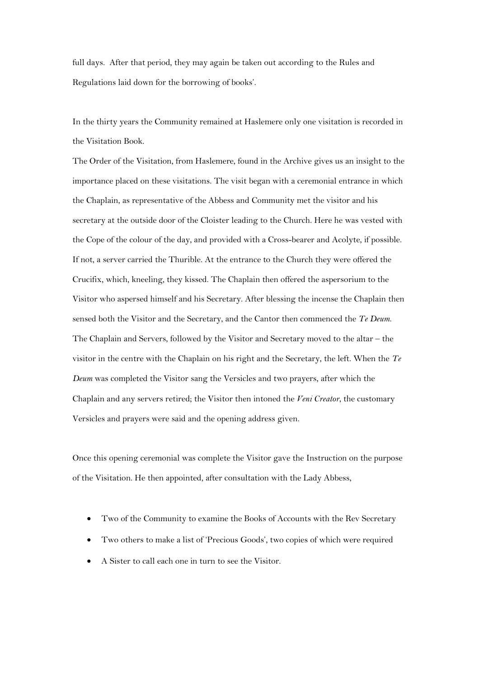full days. After that period, they may again be taken out according to the Rules and Regulations laid down for the borrowing of books'.

In the thirty years the Community remained at Haslemere only one visitation is recorded in the Visitation Book.

The Order of the Visitation, from Haslemere, found in the Archive gives us an insight to the importance placed on these visitations. The visit began with a ceremonial entrance in which the Chaplain, as representative of the Abbess and Community met the visitor and his secretary at the outside door of the Cloister leading to the Church. Here he was vested with the Cope of the colour of the day, and provided with a Cross-bearer and Acolyte, if possible. If not, a server carried the Thurible. At the entrance to the Church they were offered the Crucifix, which, kneeling, they kissed. The Chaplain then offered the aspersorium to the Visitor who aspersed himself and his Secretary. After blessing the incense the Chaplain then sensed both the Visitor and the Secretary, and the Cantor then commenced the *Te Deum*. The Chaplain and Servers, followed by the Visitor and Secretary moved to the altar – the visitor in the centre with the Chaplain on his right and the Secretary, the left. When the *Te Deum* was completed the Visitor sang the Versicles and two prayers, after which the Chaplain and any servers retired; the Visitor then intoned the *Veni Creator*, the customary Versicles and prayers were said and the opening address given.

Once this opening ceremonial was complete the Visitor gave the Instruction on the purpose of the Visitation. He then appointed, after consultation with the Lady Abbess,

- Two of the Community to examine the Books of Accounts with the Rev Secretary
- Two others to make a list of 'Precious Goods', two copies of which were required
- A Sister to call each one in turn to see the Visitor.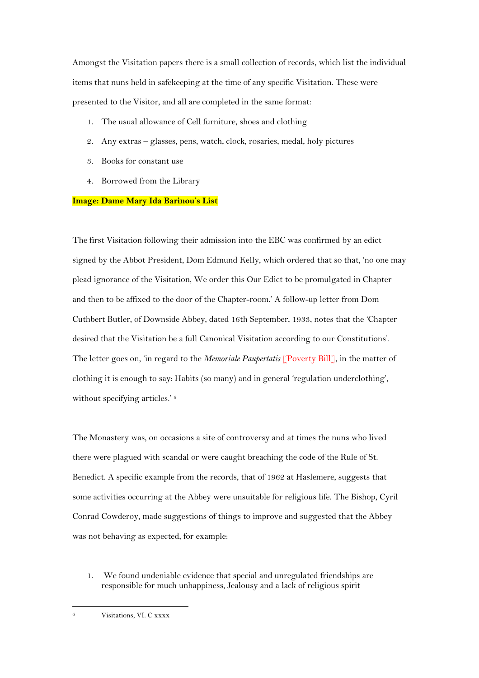Amongst the Visitation papers there is a small collection of records, which list the individual items that nuns held in safekeeping at the time of any specific Visitation. These were presented to the Visitor, and all are completed in the same format:

- 1. The usual allowance of Cell furniture, shoes and clothing
- 2. Any extras glasses, pens, watch, clock, rosaries, medal, holy pictures
- 3. Books for constant use
- 4. Borrowed from the Library

### **Image: Dame Mary Ida Barinou's List**

The first Visitation following their admission into the EBC was confirmed by an edict signed by the Abbot President, Dom Edmund Kelly, which ordered that so that, 'no one may plead ignorance of the Visitation, We order this Our Edict to be promulgated in Chapter and then to be affixed to the door of the Chapter-room.' A follow-up letter from Dom Cuthbert Butler, of Downside Abbey, dated 16th September, 1933, notes that the 'Chapter desired that the Visitation be a full Canonical Visitation according to our Constitutions'. The letter goes on, 'in regard to the *Memoriale Paupertatis* [Poverty Bill], in the matter of clothing it is enough to say: Habits (so many) and in general 'regulation underclothing', without specifying articles.' 6

The Monastery was, on occasions a site of controversy and at times the nuns who lived there were plagued with scandal or were caught breaching the code of the Rule of St. Benedict. A specific example from the records, that of 1962 at Haslemere, suggests that some activities occurring at the Abbey were unsuitable for religious life. The Bishop, Cyril Conrad Cowderoy, made suggestions of things to improve and suggested that the Abbey was not behaving as expected, for example:

1. We found undeniable evidence that special and unregulated friendships are responsible for much unhappiness, Jealousy and a lack of religious spirit

<sup>6</sup> Visitations, VI. C xxxx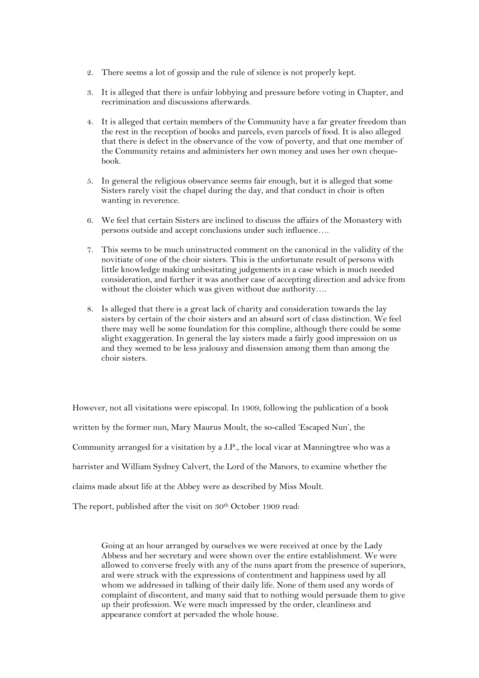- 2. There seems a lot of gossip and the rule of silence is not properly kept.
- 3. It is alleged that there is unfair lobbying and pressure before voting in Chapter, and recrimination and discussions afterwards.
- 4. It is alleged that certain members of the Community have a far greater freedom than the rest in the reception of books and parcels, even parcels of food. It is also alleged that there is defect in the observance of the vow of poverty, and that one member of the Community retains and administers her own money and uses her own chequebook.
- 5. In general the religious observance seems fair enough, but it is alleged that some Sisters rarely visit the chapel during the day, and that conduct in choir is often wanting in reverence.
- 6. We feel that certain Sisters are inclined to discuss the affairs of the Monastery with persons outside and accept conclusions under such influence….
- 7. This seems to be much uninstructed comment on the canonical in the validity of the novitiate of one of the choir sisters. This is the unfortunate result of persons with little knowledge making unhesitating judgements in a case which is much needed consideration, and further it was another case of accepting direction and advice from without the cloister which was given without due authority….
- 8. Is alleged that there is a great lack of charity and consideration towards the lay sisters by certain of the choir sisters and an absurd sort of class distinction. We feel there may well be some foundation for this compline, although there could be some slight exaggeration. In general the lay sisters made a fairly good impression on us and they seemed to be less jealousy and dissension among them than among the choir sisters.

However, not all visitations were episcopal. In 1909, following the publication of a book written by the former nun, Mary Maurus Moult, the so-called 'Escaped Nun', the Community arranged for a visitation by a J.P., the local vicar at Manningtree who was a barrister and William Sydney Calvert, the Lord of the Manors, to examine whether the claims made about life at the Abbey were as described by Miss Moult. The report, published after the visit on 30<sup>th</sup> October 1909 read:

Going at an hour arranged by ourselves we were received at once by the Lady Abbess and her secretary and were shown over the entire establishment. We were allowed to converse freely with any of the nuns apart from the presence of superiors, and were struck with the expressions of contentment and happiness used by all whom we addressed in talking of their daily life. None of them used any words of complaint of discontent, and many said that to nothing would persuade them to give up their profession. We were much impressed by the order, cleanliness and appearance comfort at pervaded the whole house.